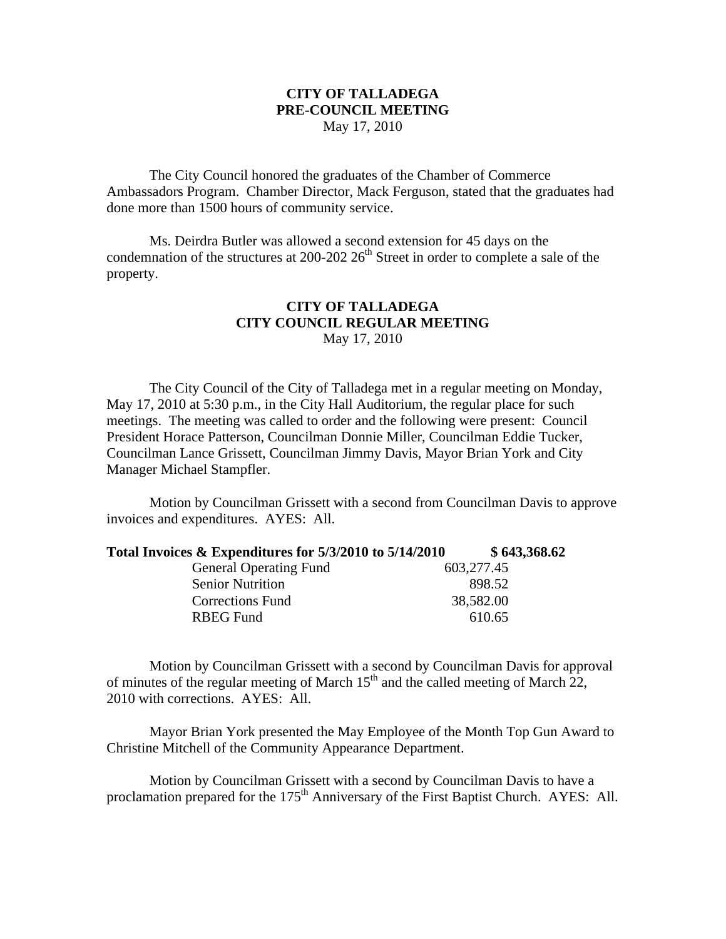## **CITY OF TALLADEGA PRE-COUNCIL MEETING** May 17, 2010

The City Council honored the graduates of the Chamber of Commerce Ambassadors Program. Chamber Director, Mack Ferguson, stated that the graduates had done more than 1500 hours of community service.

Ms. Deirdra Butler was allowed a second extension for 45 days on the condemnation of the structures at 200-202  $26<sup>th</sup>$  Street in order to complete a sale of the property.

## **CITY OF TALLADEGA CITY COUNCIL REGULAR MEETING** May 17, 2010

The City Council of the City of Talladega met in a regular meeting on Monday, May 17, 2010 at 5:30 p.m., in the City Hall Auditorium, the regular place for such meetings. The meeting was called to order and the following were present: Council President Horace Patterson, Councilman Donnie Miller, Councilman Eddie Tucker, Councilman Lance Grissett, Councilman Jimmy Davis, Mayor Brian York and City Manager Michael Stampfler.

Motion by Councilman Grissett with a second from Councilman Davis to approve invoices and expenditures. AYES: All.

| Total Invoices & Expenditures for 5/3/2010 to 5/14/2010 | \$643,368.62 |
|---------------------------------------------------------|--------------|
|---------------------------------------------------------|--------------|

| <b>General Operating Fund</b> | 603,277.45 |
|-------------------------------|------------|
| Senior Nutrition              | 898.52     |
| Corrections Fund              | 38,582.00  |
| RBEG Fund                     | 610.65     |
|                               |            |

Motion by Councilman Grissett with a second by Councilman Davis for approval of minutes of the regular meeting of March  $15<sup>th</sup>$  and the called meeting of March 22, 2010 with corrections. AYES: All.

Mayor Brian York presented the May Employee of the Month Top Gun Award to Christine Mitchell of the Community Appearance Department.

Motion by Councilman Grissett with a second by Councilman Davis to have a proclamation prepared for the 175<sup>th</sup> Anniversary of the First Baptist Church. AYES: All.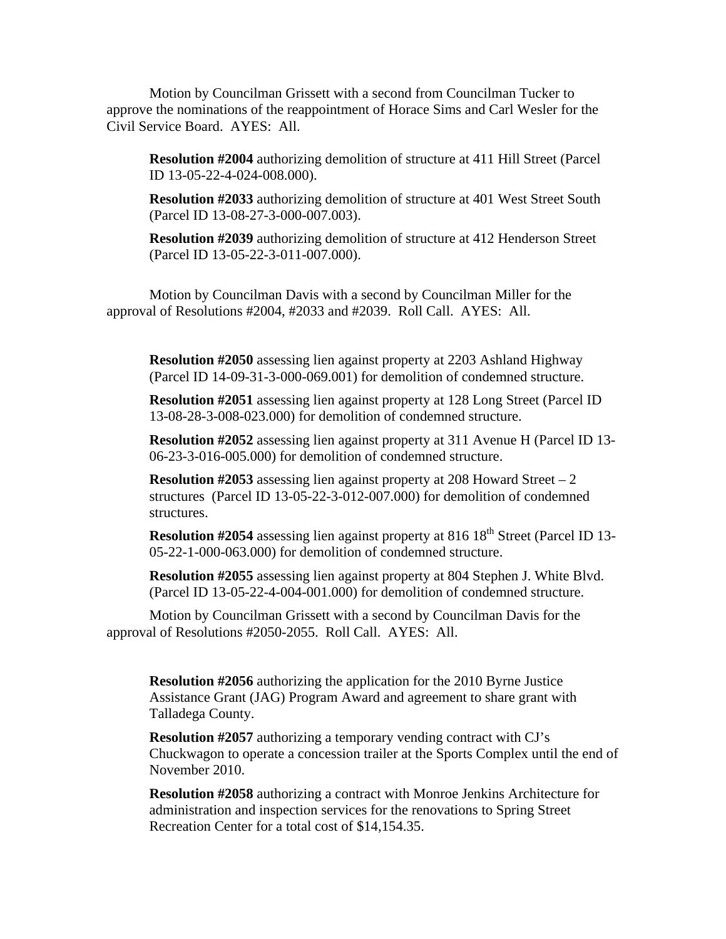Motion by Councilman Grissett with a second from Councilman Tucker to approve the nominations of the reappointment of Horace Sims and Carl Wesler for the Civil Service Board. AYES: All.

**Resolution #2004** authorizing demolition of structure at 411 Hill Street (Parcel ID 13-05-22-4-024-008.000).

**Resolution #2033** authorizing demolition of structure at 401 West Street South (Parcel ID 13-08-27-3-000-007.003).

**Resolution #2039** authorizing demolition of structure at 412 Henderson Street (Parcel ID 13-05-22-3-011-007.000).

Motion by Councilman Davis with a second by Councilman Miller for the approval of Resolutions #2004, #2033 and #2039. Roll Call. AYES: All.

**Resolution #2050** assessing lien against property at 2203 Ashland Highway (Parcel ID 14-09-31-3-000-069.001) for demolition of condemned structure.

**Resolution #2051** assessing lien against property at 128 Long Street (Parcel ID 13-08-28-3-008-023.000) for demolition of condemned structure.

**Resolution #2052** assessing lien against property at 311 Avenue H (Parcel ID 13- 06-23-3-016-005.000) for demolition of condemned structure.

**Resolution #2053** assessing lien against property at 208 Howard Street – 2 structures (Parcel ID 13-05-22-3-012-007.000) for demolition of condemned structures.

**Resolution #2054** assessing lien against property at 816 18<sup>th</sup> Street (Parcel ID 13-05-22-1-000-063.000) for demolition of condemned structure.

**Resolution #2055** assessing lien against property at 804 Stephen J. White Blvd. (Parcel ID 13-05-22-4-004-001.000) for demolition of condemned structure.

Motion by Councilman Grissett with a second by Councilman Davis for the approval of Resolutions #2050-2055. Roll Call. AYES: All.

**Resolution #2056** authorizing the application for the 2010 Byrne Justice Assistance Grant (JAG) Program Award and agreement to share grant with Talladega County.

**Resolution #2057** authorizing a temporary vending contract with CJ's Chuckwagon to operate a concession trailer at the Sports Complex until the end of November 2010.

**Resolution #2058** authorizing a contract with Monroe Jenkins Architecture for administration and inspection services for the renovations to Spring Street Recreation Center for a total cost of \$14,154.35.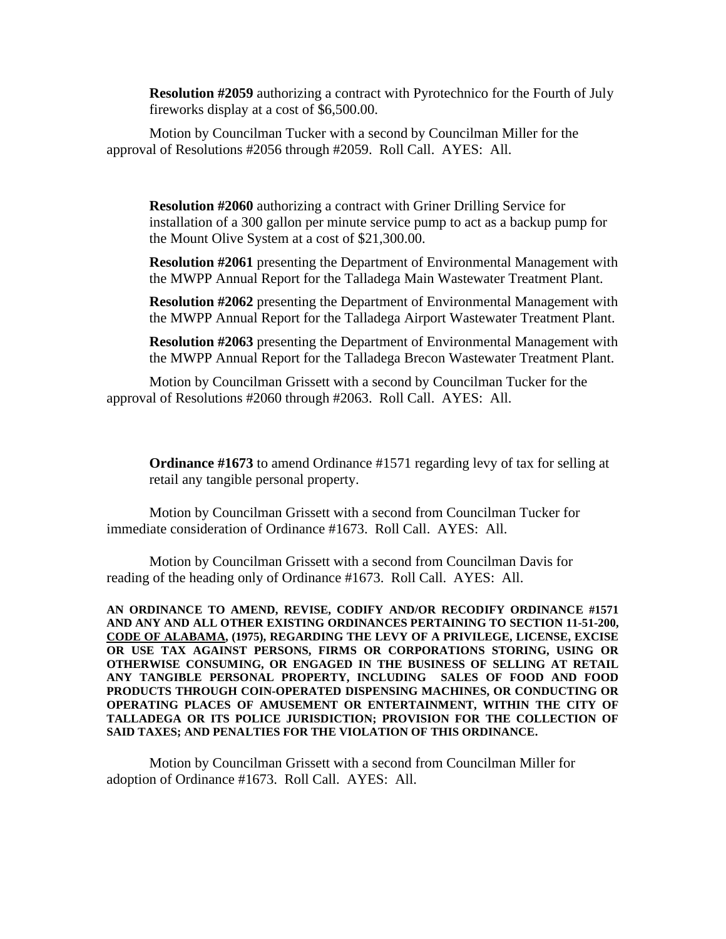**Resolution #2059** authorizing a contract with Pyrotechnico for the Fourth of July fireworks display at a cost of \$6,500.00.

Motion by Councilman Tucker with a second by Councilman Miller for the approval of Resolutions #2056 through #2059. Roll Call. AYES: All.

**Resolution #2060** authorizing a contract with Griner Drilling Service for installation of a 300 gallon per minute service pump to act as a backup pump for the Mount Olive System at a cost of \$21,300.00.

**Resolution #2061** presenting the Department of Environmental Management with the MWPP Annual Report for the Talladega Main Wastewater Treatment Plant.

**Resolution #2062** presenting the Department of Environmental Management with the MWPP Annual Report for the Talladega Airport Wastewater Treatment Plant.

**Resolution #2063** presenting the Department of Environmental Management with the MWPP Annual Report for the Talladega Brecon Wastewater Treatment Plant.

Motion by Councilman Grissett with a second by Councilman Tucker for the approval of Resolutions #2060 through #2063. Roll Call. AYES: All.

**Ordinance #1673** to amend Ordinance #1571 regarding levy of tax for selling at retail any tangible personal property.

Motion by Councilman Grissett with a second from Councilman Tucker for immediate consideration of Ordinance #1673. Roll Call. AYES: All.

Motion by Councilman Grissett with a second from Councilman Davis for reading of the heading only of Ordinance #1673. Roll Call. AYES: All.

**AN ORDINANCE TO AMEND, REVISE, CODIFY AND/OR RECODIFY ORDINANCE #1571 AND ANY AND ALL OTHER EXISTING ORDINANCES PERTAINING TO SECTION 11-51-200, CODE OF ALABAMA, (1975), REGARDING THE LEVY OF A PRIVILEGE, LICENSE, EXCISE OR USE TAX AGAINST PERSONS, FIRMS OR CORPORATIONS STORING, USING OR OTHERWISE CONSUMING, OR ENGAGED IN THE BUSINESS OF SELLING AT RETAIL ANY TANGIBLE PERSONAL PROPERTY, INCLUDING SALES OF FOOD AND FOOD PRODUCTS THROUGH COIN-OPERATED DISPENSING MACHINES, OR CONDUCTING OR OPERATING PLACES OF AMUSEMENT OR ENTERTAINMENT, WITHIN THE CITY OF TALLADEGA OR ITS POLICE JURISDICTION; PROVISION FOR THE COLLECTION OF SAID TAXES; AND PENALTIES FOR THE VIOLATION OF THIS ORDINANCE.**

Motion by Councilman Grissett with a second from Councilman Miller for adoption of Ordinance #1673. Roll Call. AYES: All.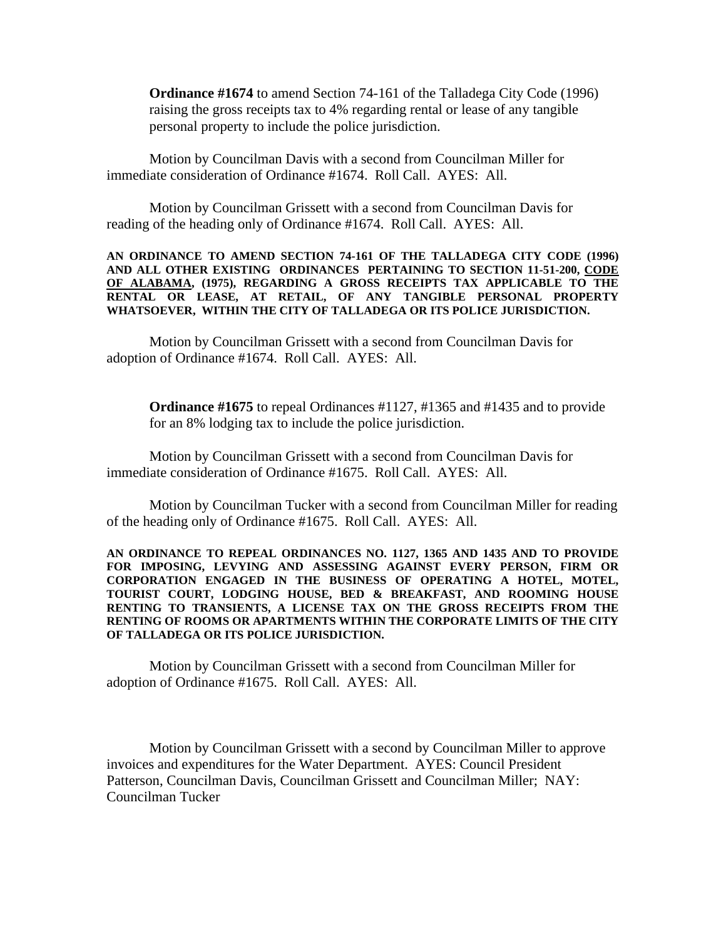**Ordinance #1674** to amend Section 74-161 of the Talladega City Code (1996) raising the gross receipts tax to 4% regarding rental or lease of any tangible personal property to include the police jurisdiction.

Motion by Councilman Davis with a second from Councilman Miller for immediate consideration of Ordinance #1674. Roll Call. AYES: All.

Motion by Councilman Grissett with a second from Councilman Davis for reading of the heading only of Ordinance #1674. Roll Call. AYES: All.

**AN ORDINANCE TO AMEND SECTION 74-161 OF THE TALLADEGA CITY CODE (1996) AND ALL OTHER EXISTING ORDINANCES PERTAINING TO SECTION 11-51-200, CODE OF ALABAMA, (1975), REGARDING A GROSS RECEIPTS TAX APPLICABLE TO THE RENTAL OR LEASE, AT RETAIL, OF ANY TANGIBLE PERSONAL PROPERTY WHATSOEVER, WITHIN THE CITY OF TALLADEGA OR ITS POLICE JURISDICTION.**

Motion by Councilman Grissett with a second from Councilman Davis for adoption of Ordinance #1674. Roll Call. AYES: All.

**Ordinance #1675** to repeal Ordinances #1127, #1365 and #1435 and to provide for an 8% lodging tax to include the police jurisdiction.

Motion by Councilman Grissett with a second from Councilman Davis for immediate consideration of Ordinance #1675. Roll Call. AYES: All.

Motion by Councilman Tucker with a second from Councilman Miller for reading of the heading only of Ordinance #1675. Roll Call. AYES: All.

**AN ORDINANCE TO REPEAL ORDINANCES NO. 1127, 1365 AND 1435 AND TO PROVIDE FOR IMPOSING, LEVYING AND ASSESSING AGAINST EVERY PERSON, FIRM OR CORPORATION ENGAGED IN THE BUSINESS OF OPERATING A HOTEL, MOTEL, TOURIST COURT, LODGING HOUSE, BED & BREAKFAST, AND ROOMING HOUSE RENTING TO TRANSIENTS, A LICENSE TAX ON THE GROSS RECEIPTS FROM THE RENTING OF ROOMS OR APARTMENTS WITHIN THE CORPORATE LIMITS OF THE CITY OF TALLADEGA OR ITS POLICE JURISDICTION.**

Motion by Councilman Grissett with a second from Councilman Miller for adoption of Ordinance #1675. Roll Call. AYES: All.

Motion by Councilman Grissett with a second by Councilman Miller to approve invoices and expenditures for the Water Department. AYES: Council President Patterson, Councilman Davis, Councilman Grissett and Councilman Miller; NAY: Councilman Tucker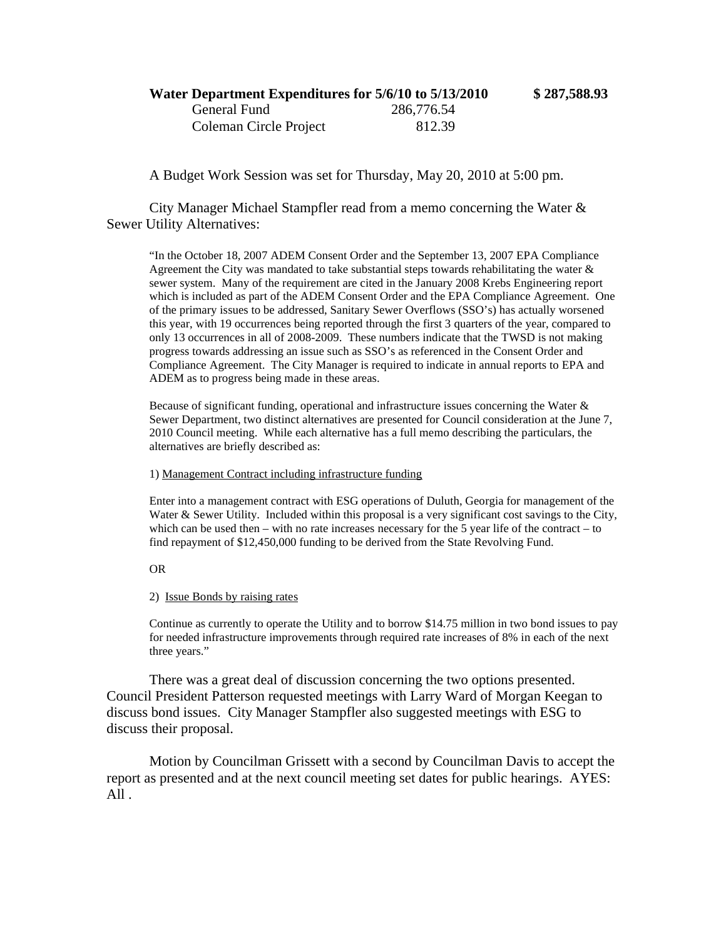## **Water Department Expenditures for 5/6/10 to 5/13/2010 \$ 287,588.93** General Fund 286,776.54 Coleman Circle Project 812.39

A Budget Work Session was set for Thursday, May 20, 2010 at 5:00 pm.

City Manager Michael Stampfler read from a memo concerning the Water & Sewer Utility Alternatives:

"In the October 18, 2007 ADEM Consent Order and the September 13, 2007 EPA Compliance Agreement the City was mandated to take substantial steps towards rehabilitating the water  $\&$ sewer system. Many of the requirement are cited in the January 2008 Krebs Engineering report which is included as part of the ADEM Consent Order and the EPA Compliance Agreement. One of the primary issues to be addressed, Sanitary Sewer Overflows (SSO's) has actually worsened this year, with 19 occurrences being reported through the first 3 quarters of the year, compared to only 13 occurrences in all of 2008-2009. These numbers indicate that the TWSD is not making progress towards addressing an issue such as SSO's as referenced in the Consent Order and Compliance Agreement. The City Manager is required to indicate in annual reports to EPA and ADEM as to progress being made in these areas.

Because of significant funding, operational and infrastructure issues concerning the Water & Sewer Department, two distinct alternatives are presented for Council consideration at the June 7, 2010 Council meeting. While each alternative has a full memo describing the particulars, the alternatives are briefly described as:

1) Management Contract including infrastructure funding

Enter into a management contract with ESG operations of Duluth, Georgia for management of the Water & Sewer Utility. Included within this proposal is a very significant cost savings to the City, which can be used then  $-$  with no rate increases necessary for the 5 year life of the contract  $-$  to find repayment of \$12,450,000 funding to be derived from the State Revolving Fund.

OR

2) Issue Bonds by raising rates

Continue as currently to operate the Utility and to borrow \$14.75 million in two bond issues to pay for needed infrastructure improvements through required rate increases of 8% in each of the next three years."

There was a great deal of discussion concerning the two options presented. Council President Patterson requested meetings with Larry Ward of Morgan Keegan to discuss bond issues. City Manager Stampfler also suggested meetings with ESG to discuss their proposal.

Motion by Councilman Grissett with a second by Councilman Davis to accept the report as presented and at the next council meeting set dates for public hearings. AYES: All .